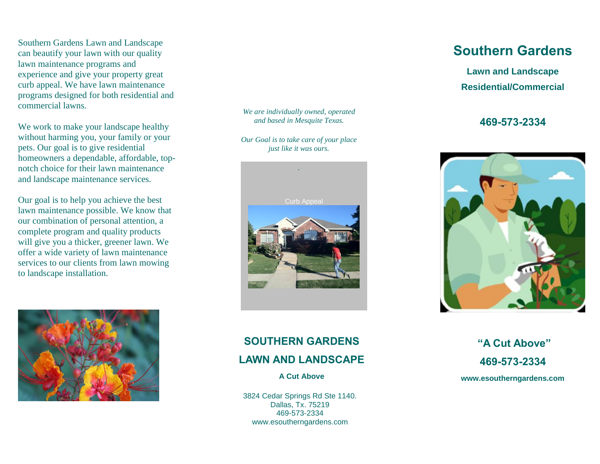Southern Gardens Lawn and Landscape<br>can beautify your lawn with our quality lawn maintenance programs and<br>experience and give your property great curo appear. We have fawn maintenance<br>programs designed for both residential and Southern Gardens Lawn and Landscape lawn maintenance programs and curb appeal. We have lawn maintenance commercial lawns.

We work to make your landscape healthy without harming you, your family or your pets. Our goal is to give residential homeowners a dependable, affordable, topnotch choice for their lawn maintenance and landscape maintenance services.

Our goal is to help you achieve the best lawn maintenance possible. We know that our combination of personal attention, a complete program and quality products will give you a thicker, greener lawn. We offer a wide variety of lawn maintenance services to our clients from lawn mowing to landscape installation.



*We are individually owned, operated and based in Mesquite Texas.*

*Our Goal is to take care of your place just like it was ours.*



### **Southern Gardens**

**Lawn and Landscape Residential/Commercial**

### **469-573-2334**



### **SOUTHERN GARDENS**

### **LAWN AND LANDSCAPE**

**A Cut Above**

3824 Cedar Springs Rd Ste 1140. Dallas, Tx. 75219 469-573-2334 www.esoutherngardens.com

**"A Cut Above" 469-573-2334 www.esoutherngardens.com**